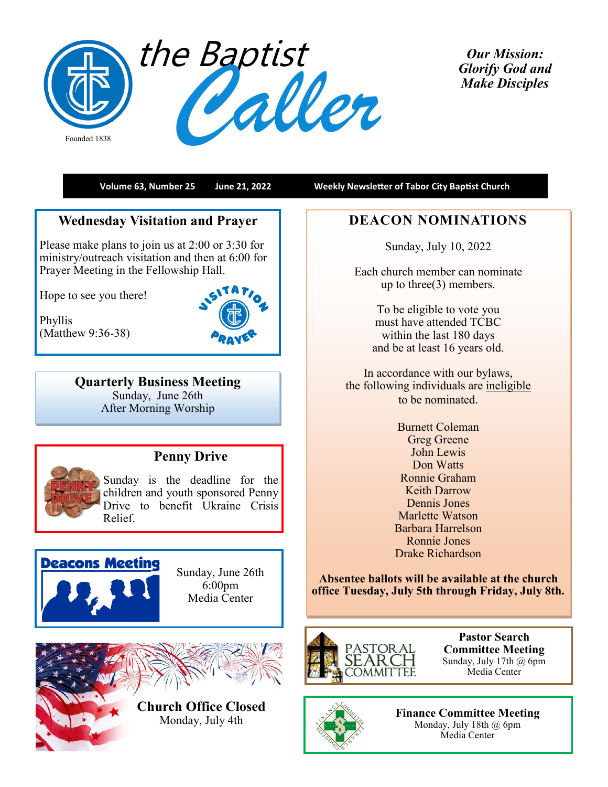

*Our Mission: Glorify God and Make Disciples* 

**Volume 63, Number 25 June 21, 2022 Weekly Newsletter of Tabor City Baptist Church**

## **Wednesday Visitation and Prayer**

Please make plans to join us at 2:00 or 3:30 for ministry/outreach visitation and then at 6:00 for Prayer Meeting in the Fellowship Hall.

Hope to see you there!

Phyllis (Matthew 9:36-38)



**Quarterly Business Meeting** Sunday, June 26th After Morning Worship



# **Penny Drive**

Sunday is the deadline for the children and youth sponsored Penny Drive to benefit Ukraine Crisis Relief.



Sunday, June 26th 6:00pm Media Center



**Church Office Closed** Monday, July 4th

## **DEACON NOMINATIONS**

Sunday, July 10, 2022

Each church member can nominate up to three(3) members.

> To be eligible to vote you must have attended TCBC within the last 180 days and be at least 16 years old.

In accordance with our bylaws, the following individuals are ineligible to be nominated.

> Burnett Coleman Greg Greene John Lewis Don Watts Ronnie Graham Keith Darrow Dennis Jones Marlette Watson Barbara Harrelson Ronnie Jones Drake Richardson

**Absentee ballots will be available at the church office Tuesday, July 5th through Friday, July 8th.**



**Pastor Search Committee Meeting** Sunday, July 17th  $@$  6pm Media Center



**Finance Committee Meeting** Monday, July 18th @ 6pm Media Center